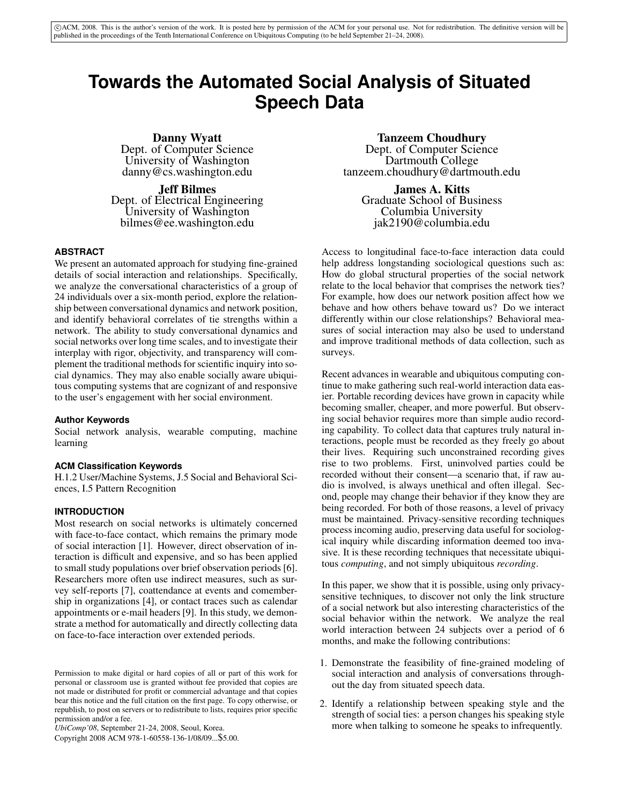# **Towards the Automated Social Analysis of Situated Speech Data**

Danny Wyatt Dept. of Computer Science University of Washington danny@cs.washington.edu

Jeff Bilmes Dept. of Electrical Engineering University of Washington bilmes@ee.washington.edu

# **ABSTRACT**

We present an automated approach for studying fine-grained details of social interaction and relationships. Specifically, we analyze the conversational characteristics of a group of 24 individuals over a six-month period, explore the relationship between conversational dynamics and network position, and identify behavioral correlates of tie strengths within a network. The ability to study conversational dynamics and social networks over long time scales, and to investigate their interplay with rigor, objectivity, and transparency will complement the traditional methods for scientific inquiry into social dynamics. They may also enable socially aware ubiquitous computing systems that are cognizant of and responsive to the user's engagement with her social environment.

# **Author Keywords**

Social network analysis, wearable computing, machine learning

# **ACM Classification Keywords**

H.1.2 User/Machine Systems, J.5 Social and Behavioral Sciences, I.5 Pattern Recognition

# **INTRODUCTION**

Most research on social networks is ultimately concerned with face-to-face contact, which remains the primary mode of social interaction [1]. However, direct observation of interaction is difficult and expensive, and so has been applied to small study populations over brief observation periods [6]. Researchers more often use indirect measures, such as survey self-reports [7], coattendance at events and comembership in organizations [4], or contact traces such as calendar appointments or e-mail headers [9]. In this study, we demonstrate a method for automatically and directly collecting data on face-to-face interaction over extended periods.

*UbiComp'08*, September 21-24, 2008, Seoul, Korea.

Copyright 2008 ACM 978-1-60558-136-1/08/09...\$5.00.

# Tanzeem Choudhury

Dept. of Computer Science Dartmouth College tanzeem.choudhury@dartmouth.edu

James A. Kitts Graduate School of Business Columbia University jak2190@columbia.edu

Access to longitudinal face-to-face interaction data could help address longstanding sociological questions such as: How do global structural properties of the social network relate to the local behavior that comprises the network ties? For example, how does our network position affect how we behave and how others behave toward us? Do we interact differently within our close relationships? Behavioral measures of social interaction may also be used to understand and improve traditional methods of data collection, such as surveys.

Recent advances in wearable and ubiquitous computing continue to make gathering such real-world interaction data easier. Portable recording devices have grown in capacity while becoming smaller, cheaper, and more powerful. But observing social behavior requires more than simple audio recording capability. To collect data that captures truly natural interactions, people must be recorded as they freely go about their lives. Requiring such unconstrained recording gives rise to two problems. First, uninvolved parties could be recorded without their consent—a scenario that, if raw audio is involved, is always unethical and often illegal. Second, people may change their behavior if they know they are being recorded. For both of those reasons, a level of privacy must be maintained. Privacy-sensitive recording techniques process incoming audio, preserving data useful for sociological inquiry while discarding information deemed too invasive. It is these recording techniques that necessitate ubiquitous *computing*, and not simply ubiquitous *recording*.

In this paper, we show that it is possible, using only privacysensitive techniques, to discover not only the link structure of a social network but also interesting characteristics of the social behavior within the network. We analyze the real world interaction between 24 subjects over a period of 6 months, and make the following contributions:

- 1. Demonstrate the feasibility of fine-grained modeling of social interaction and analysis of conversations throughout the day from situated speech data.
- 2. Identify a relationship between speaking style and the strength of social ties: a person changes his speaking style more when talking to someone he speaks to infrequently.

Permission to make digital or hard copies of all or part of this work for personal or classroom use is granted without fee provided that copies are not made or distributed for profit or commercial advantage and that copies bear this notice and the full citation on the first page. To copy otherwise, or republish, to post on servers or to redistribute to lists, requires prior specific permission and/or a fee.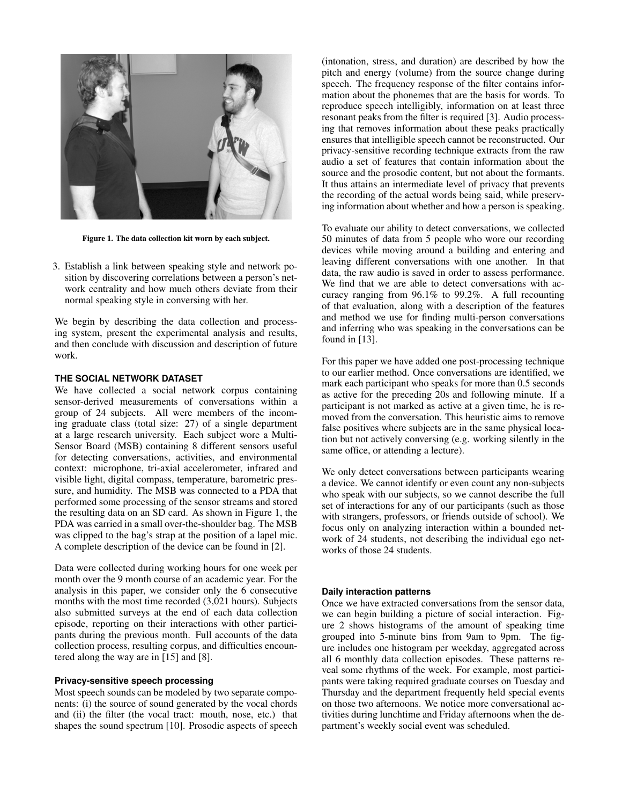

Figure 1. The data collection kit worn by each subject.

3. Establish a link between speaking style and network position by discovering correlations between a person's network centrality and how much others deviate from their normal speaking style in conversing with her.

We begin by describing the data collection and processing system, present the experimental analysis and results, and then conclude with discussion and description of future work.

#### **THE SOCIAL NETWORK DATASET**

We have collected a social network corpus containing sensor-derived measurements of conversations within a group of 24 subjects. All were members of the incoming graduate class (total size: 27) of a single department at a large research university. Each subject wore a Multi-Sensor Board (MSB) containing 8 different sensors useful for detecting conversations, activities, and environmental context: microphone, tri-axial accelerometer, infrared and visible light, digital compass, temperature, barometric pressure, and humidity. The MSB was connected to a PDA that performed some processing of the sensor streams and stored the resulting data on an SD card. As shown in Figure 1, the PDA was carried in a small over-the-shoulder bag. The MSB was clipped to the bag's strap at the position of a lapel mic. A complete description of the device can be found in [2].

Data were collected during working hours for one week per month over the 9 month course of an academic year. For the analysis in this paper, we consider only the 6 consecutive months with the most time recorded (3,021 hours). Subjects also submitted surveys at the end of each data collection episode, reporting on their interactions with other participants during the previous month. Full accounts of the data collection process, resulting corpus, and difficulties encountered along the way are in [15] and [8].

#### **Privacy-sensitive speech processing**

Most speech sounds can be modeled by two separate components: (i) the source of sound generated by the vocal chords and (ii) the filter (the vocal tract: mouth, nose, etc.) that shapes the sound spectrum [10]. Prosodic aspects of speech (intonation, stress, and duration) are described by how the pitch and energy (volume) from the source change during speech. The frequency response of the filter contains information about the phonemes that are the basis for words. To reproduce speech intelligibly, information on at least three resonant peaks from the filter is required [3]. Audio processing that removes information about these peaks practically ensures that intelligible speech cannot be reconstructed. Our privacy-sensitive recording technique extracts from the raw audio a set of features that contain information about the source and the prosodic content, but not about the formants. It thus attains an intermediate level of privacy that prevents the recording of the actual words being said, while preserving information about whether and how a person is speaking.

To evaluate our ability to detect conversations, we collected 50 minutes of data from 5 people who wore our recording devices while moving around a building and entering and leaving different conversations with one another. In that data, the raw audio is saved in order to assess performance. We find that we are able to detect conversations with accuracy ranging from 96.1% to 99.2%. A full recounting of that evaluation, along with a description of the features and method we use for finding multi-person conversations and inferring who was speaking in the conversations can be found in [13].

For this paper we have added one post-processing technique to our earlier method. Once conversations are identified, we mark each participant who speaks for more than 0.5 seconds as active for the preceding 20s and following minute. If a participant is not marked as active at a given time, he is removed from the conversation. This heuristic aims to remove false positives where subjects are in the same physical location but not actively conversing (e.g. working silently in the same office, or attending a lecture).

We only detect conversations between participants wearing a device. We cannot identify or even count any non-subjects who speak with our subjects, so we cannot describe the full set of interactions for any of our participants (such as those with strangers, professors, or friends outside of school). We focus only on analyzing interaction within a bounded network of 24 students, not describing the individual ego networks of those 24 students.

# **Daily interaction patterns**

Once we have extracted conversations from the sensor data, we can begin building a picture of social interaction. Figure 2 shows histograms of the amount of speaking time grouped into 5-minute bins from 9am to 9pm. The figure includes one histogram per weekday, aggregated across all 6 monthly data collection episodes. These patterns reveal some rhythms of the week. For example, most participants were taking required graduate courses on Tuesday and Thursday and the department frequently held special events on those two afternoons. We notice more conversational activities during lunchtime and Friday afternoons when the department's weekly social event was scheduled.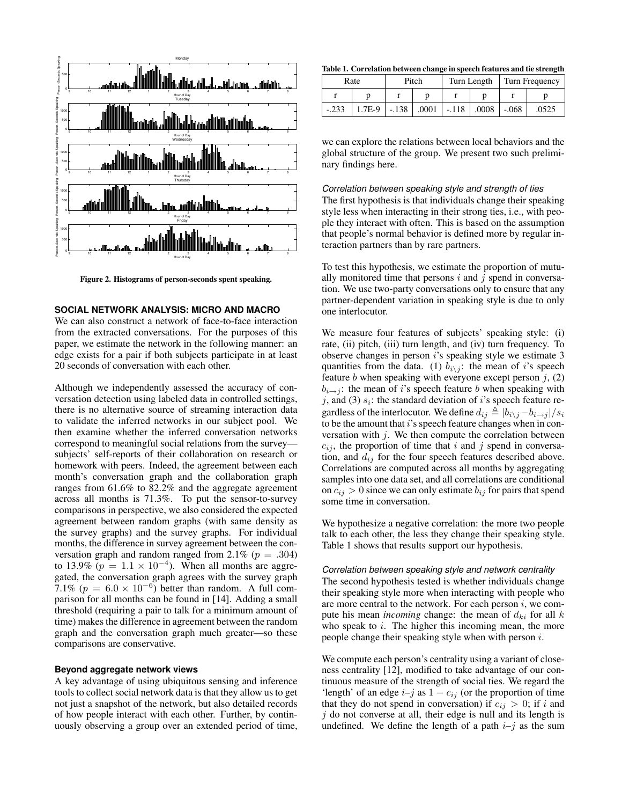

Figure 2. Histograms of person-seconds spent speaking.

#### **SOCIAL NETWORK ANALYSIS: MICRO AND MACRO**

We can also construct a network of face-to-face interaction from the extracted conversations. For the purposes of this paper, we estimate the network in the following manner: an edge exists for a pair if both subjects participate in at least 20 seconds of conversation with each other.

Although we independently assessed the accuracy of conversation detection using labeled data in controlled settings, there is no alternative source of streaming interaction data to validate the inferred networks in our subject pool. We then examine whether the inferred conversation networks correspond to meaningful social relations from the survey subjects' self-reports of their collaboration on research or homework with peers. Indeed, the agreement between each month's conversation graph and the collaboration graph ranges from 61.6% to 82.2% and the aggregate agreement across all months is 71.3%. To put the sensor-to-survey comparisons in perspective, we also considered the expected agreement between random graphs (with same density as the survey graphs) and the survey graphs. For individual months, the difference in survey agreement between the conversation graph and random ranged from 2.1% ( $p = .304$ ) to 13.9% ( $p = 1.1 \times 10^{-4}$ ). When all months are aggregated, the conversation graph agrees with the survey graph 7.1% ( $p = 6.0 \times 10^{-6}$ ) better than random. A full comparison for all months can be found in [14]. Adding a small threshold (requiring a pair to talk for a minimum amount of time) makes the difference in agreement between the random graph and the conversation graph much greater—so these comparisons are conservative.

#### **Beyond aggregate network views**

A key advantage of using ubiquitous sensing and inference tools to collect social network data is that they allow us to get not just a snapshot of the network, but also detailed records of how people interact with each other. Further, by continuously observing a group over an extended period of time,

Table 1. Correlation between change in speech features and tie strength

| Rate    |                                                            | Pitch |  | Turn Length |  | Turn Frequency |       |
|---------|------------------------------------------------------------|-------|--|-------------|--|----------------|-------|
|         |                                                            |       |  |             |  |                |       |
| $-.233$ | $1.7E-9$   $-.138$   $.0001$   $-.118$   $.0008$   $-.068$ |       |  |             |  |                | .0525 |

we can explore the relations between local behaviors and the global structure of the group. We present two such preliminary findings here.

*Correlation between speaking style and strength of ties*

The first hypothesis is that individuals change their speaking style less when interacting in their strong ties, i.e., with people they interact with often. This is based on the assumption that people's normal behavior is defined more by regular interaction partners than by rare partners.

To test this hypothesis, we estimate the proportion of mutually monitored time that persons  $i$  and  $j$  spend in conversation. We use two-party conversations only to ensure that any partner-dependent variation in speaking style is due to only one interlocutor.

We measure four features of subjects' speaking style: (i) rate, (ii) pitch, (iii) turn length, and (iv) turn frequency. To observe changes in person  $i$ 's speaking style we estimate 3 quantities from the data. (1)  $b_{i\setminus j}$ : the mean of i's speech feature b when speaking with everyone except person  $j$ ,  $(2)$  $b_{i\rightarrow j}$ : the mean of i's speech feature b when speaking with j, and (3)  $s_i$ : the standard deviation of i's speech feature regardless of the interlocutor. We define  $d_{ij} \triangleq |b_{i\setminus j}-b_{i\rightarrow j}|/s_i$ to be the amount that  $i$ 's speech feature changes when in conversation with  $j$ . We then compute the correlation between  $c_{ij}$ , the proportion of time that i and j spend in conversation, and  $d_{ij}$  for the four speech features described above. Correlations are computed across all months by aggregating samples into one data set, and all correlations are conditional on  $c_{ij} > 0$  since we can only estimate  $b_{ij}$  for pairs that spend some time in conversation.

We hypothesize a negative correlation: the more two people talk to each other, the less they change their speaking style. Table 1 shows that results support our hypothesis.

#### *Correlation between speaking style and network centrality*

The second hypothesis tested is whether individuals change their speaking style more when interacting with people who are more central to the network. For each person  $i$ , we compute his mean *incoming* change: the mean of  $d_{ki}$  for all  $k$ who speak to  $i$ . The higher this incoming mean, the more people change their speaking style when with person i.

We compute each person's centrality using a variant of closeness centrality [12], modified to take advantage of our continuous measure of the strength of social ties. We regard the 'length' of an edge  $i-j$  as  $1 - c_{ij}$  (or the proportion of time that they do not spend in conversation) if  $c_{ij} > 0$ ; if i and  $j$  do not converse at all, their edge is null and its length is undefined. We define the length of a path  $i-j$  as the sum